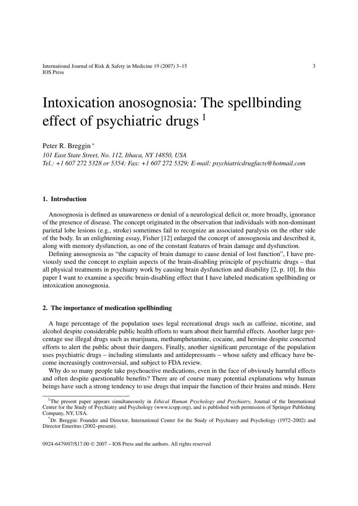International Journal of Risk & Safety in Medicine 19 (2007) 3–15 3 IOS Press

# Intoxication anosognosia: The spellbinding effect of psychiatric drugs<sup>1</sup>

Peter R. Breggin <sup>∗</sup>

*101 East State Street, No. 112, Ithaca, NY 14850, USA Tel.: +1 607 272 5328 or 5354; Fax: +1 607 272 5329; E-mail: psychiatricdrugfacts@hotmail.com*

### **1. Introduction**

Anosognosia is defined as unawareness or denial of a neurological deficit or, more broadly, ignorance of the presence of disease. The concept originated in the observation that individuals with non-dominant parietal lobe lesions (e.g., stroke) sometimes fail to recognize an associated paralysis on the other side of the body. In an enlightening essay, Fisher [12] enlarged the concept of anosognosia and described it, along with memory dysfunction, as one of the constant features of brain damage and dysfunction.

Defining anosognosia as "the capacity of brain damage to cause denial of lost function", I have previously used the concept to explain aspects of the brain-disabling principle of psychiatric drugs – that all physical treatments in psychiatry work by causing brain dysfunction and disability [2, p. 10]. In this paper I want to examine a specific brain-disabling effect that I have labeled medication spellbinding or intoxication anosognosia.

# **2. The importance of medication spellbinding**

A huge percentage of the population uses legal recreational drugs such as caffeine, nicotine, and alcohol despite considerable public health efforts to warn about their harmful effects. Another large percentage use illegal drugs such as marijuana, methamphetamine, cocaine, and heroine despite concerted efforts to alert the public about their dangers. Finally, another significant percentage of the population uses psychiatric drugs – including stimulants and antidepressants – whose safety and efficacy have become increasingly controversial, and subject to FDA review.

Why do so many people take psychoactive medications, even in the face of obviously harmful effects and often despite questionable benefits? There are of course many potential explanations why human beings have such a strong tendency to use drugs that impair the function of their brains and minds. Here

<sup>&</sup>lt;sup>1</sup>The present paper appears simultaneously in *Ethical Human Psychology and Psychiatry*, Journal of the International Center for the Study of Psychiatry and Psychology (www.icspp.org), and is published with permission of Springer Publishing Company, NY, USA.

<sup>\*</sup>Dr. Breggin: Founder and Director, International Center for the Study of Psychiatry and Psychology (1972–2002) and Director Emeritus (2002–present).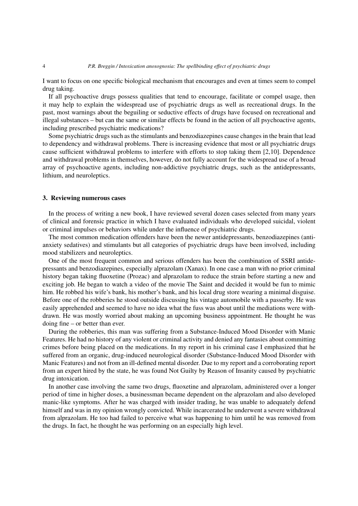I want to focus on one specific biological mechanism that encourages and even at times seem to compel drug taking.

If all psychoactive drugs possess qualities that tend to encourage, facilitate or compel usage, then it may help to explain the widespread use of psychiatric drugs as well as recreational drugs. In the past, most warnings about the beguiling or seductive effects of drugs have focused on recreational and illegal substances – but can the same or similar effects be found in the action of all psychoactive agents, including prescribed psychiatric medications?

Some psychiatric drugs such as the stimulants and benzodiazepines cause changes in the brain that lead to dependency and withdrawal problems. There is increasing evidence that most or all psychiatric drugs cause sufficient withdrawal problems to interfere with efforts to stop taking them [2,10]. Dependence and withdrawal problems in themselves, however, do not fully account for the widespread use of a broad array of psychoactive agents, including non-addictive psychiatric drugs, such as the antidepressants, lithium, and neuroleptics.

## **3. Reviewing numerous cases**

In the process of writing a new book, I have reviewed several dozen cases selected from many years of clinical and forensic practice in which I have evaluated individuals who developed suicidal, violent or criminal impulses or behaviors while under the influence of psychiatric drugs.

The most common medication offenders have been the newer antidepressants, benzodiazepines (antianxiety sedatives) and stimulants but all categories of psychiatric drugs have been involved, including mood stabilizers and neuroleptics.

One of the most frequent common and serious offenders has been the combination of SSRI antidepressants and benzodiazepines, especially alprazolam (Xanax). In one case a man with no prior criminal history began taking fluoxetine (Prozac) and alprazolam to reduce the strain before starting a new and exciting job. He began to watch a video of the movie The Saint and decided it would be fun to mimic him. He robbed his wife's bank, his mother's bank, and his local drug store wearing a minimal disguise. Before one of the robberies he stood outside discussing his vintage automobile with a passerby. He was easily apprehended and seemed to have no idea what the fuss was about until the mediations were withdrawn. He was mostly worried about making an upcoming business appointment. He thought he was doing fine – or better than ever.

During the robberies, this man was suffering from a Substance-Induced Mood Disorder with Manic Features. He had no history of any violent or criminal activity and denied any fantasies about committing crimes before being placed on the medications. In my report in his criminal case I emphasized that he suffered from an organic, drug-induced neurological disorder (Substance-Induced Mood Disorder with Manic Features) and not from an ill-defined mental disorder. Due to my report and a corroborating report from an expert hired by the state, he was found Not Guilty by Reason of Insanity caused by psychiatric drug intoxication.

In another case involving the same two drugs, fluoxetine and alprazolam, administered over a longer period of time in higher doses, a businessman became dependent on the alprazolam and also developed manic-like symptoms. After he was charged with insider trading, he was unable to adequately defend himself and was in my opinion wrongly convicted. While incarcerated he underwent a severe withdrawal from alprazolam. He too had failed to perceive what was happening to him until he was removed from the drugs. In fact, he thought he was performing on an especially high level.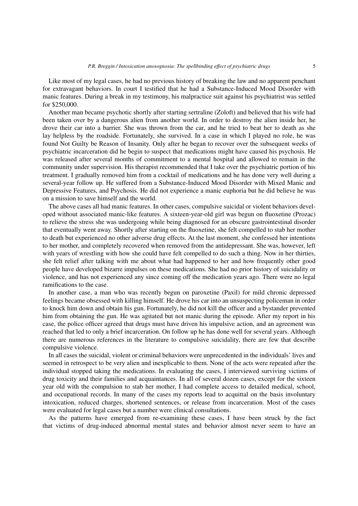Like most of my legal cases, he had no previous history of breaking the law and no apparent penchant for extravagant behaviors. In court I testified that he had a Substance-Induced Mood Disorder with manic features. During a break in my testimony, his malpractice suit against his psychiatrist was settled for \$250,000.

Another man became psychotic shortly after starting sertraline (Zoloft) and believed that his wife had been taken over by a dangerous alien from another world. In order to destroy the alien inside her, he drove their car into a barrier. She was thrown from the car, and he tried to beat her to death as she lay helpless by the roadside. Fortunately, she survived. In a case in which I played no role, he was found Not Guilty be Reason of Insanity. Only after he began to recover over the subsequent weeks of psychiatric incarceration did he begin to suspect that medications might have caused his psychosis. He was released after several months of commitment to a mental hospital and allowed to remain in the community under supervision. His therapist recommended that I take over the psychiatric portion of his treatment. I gradually removed him from a cocktail of medications and he has done very well during a several-year follow up. He suffered from a Substance-Induced Mood Disorder with Mixed Manic and Depressive Features, and Psychosis. He did not experience a manic euphoria but he did believe he was on a mission to save himself and the world.

The above cases all had manic features. In other cases, compulsive suicidal or violent behaviors developed without associated manic-like features. A sixteen-year-old girl was begun on fluoxetine (Prozac) to relieve the stress she was undergoing while being diagnosed for an obscure gastrointestinal disorder that eventually went away. Shortly after starting on the fluoxetine, she felt compelled to stab her mother to death but experienced no other adverse drug effects. At the last moment, she confessed her intentions to her mother, and completely recovered when removed from the antidepressant. She was, however, left with years of wrestling with how she could have felt compelled to do such a thing. Now in her thirties, she felt relief after talking with me about what had happened to her and how frequently other good people have developed bizarre impulses on these medications. She had no prior history of suicidality or violence, and has not experienced any since coming off the medication years ago. There were no legal ramifications to the case.

In another case, a man who was recently begun on paroxetine (Paxil) for mild chronic depressed feelings became obsessed with killing himself. He drove his car into an unsuspecting policeman in order to knock him down and obtain his gun. Fortunately, he did not kill the officer and a bystander prevented him from obtaining the gun. He was agitated but not manic during the episode. After my report in his case, the police officer agreed that drugs must have driven his impulsive action, and an agreement was reached that led to only a brief incarceration. On follow up he has done well for several years. Although there are numerous references in the literature to compulsive suicidality, there are few that describe compulsive violence.

In all cases the suicidal, violent or criminal behaviors were unprecedented in the individuals' lives and seemed in retrospect to be very alien and inexplicable to them. None of the acts were repeated after the individual stopped taking the medications. In evaluating the cases, I interviewed surviving victims of drug toxicity and their families and acquaintances. In all of several dozen cases, except for the sixteen year old with the compulsion to stab her mother, I had complete access to detailed medical, school, and occupational records. In many of the cases my reports lead to acquittal on the basis involuntary intoxication, reduced charges, shortened sentences, or release from incarceration. Most of the cases were evaluated for legal cases but a number were clinical consultations.

As the patterns have emerged from re-examining these cases, I have been struck by the fact that victims of drug-induced abnormal mental states and behavior almost never seem to have an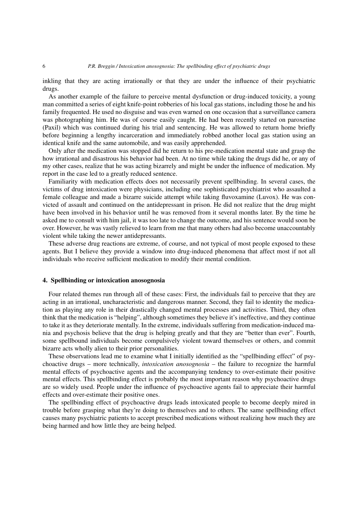inkling that they are acting irrationally or that they are under the influence of their psychiatric drugs.

As another example of the failure to perceive mental dysfunction or drug-induced toxicity, a young man committed a series of eight knife-point robberies of his local gas stations, including those he and his family frequented. He used no disguise and was even warned on one occasion that a surveillance camera was photographing him. He was of course easily caught. He had been recently started on paroxetine (Paxil) which was continued during his trial and sentencing. He was allowed to return home briefly before beginning a lengthy incarceration and immediately robbed another local gas station using an identical knife and the same automobile, and was easily apprehended.

Only after the medication was stopped did he return to his pre-medication mental state and grasp the how irrational and disastrous his behavior had been. At no time while taking the drugs did he, or any of my other cases, realize that he was acting bizarrely and might be under the influence of medication. My report in the case led to a greatly reduced sentence.

Familiarity with medication effects does not necessarily prevent spellbinding. In several cases, the victims of drug intoxication were physicians, including one sophisticated psychiatrist who assaulted a female colleague and made a bizarre suicide attempt while taking fluvoxamine (Luvox). He was convicted of assault and continued on the antidepressant in prison. He did not realize that the drug might have been involved in his behavior until he was removed from it several months later. By the time he asked me to consult with him jail, it was too late to change the outcome, and his sentence would soon be over. However, he was vastly relieved to learn from me that many others had also become unaccountably violent while taking the newer antidepressants.

These adverse drug reactions are extreme, of course, and not typical of most people exposed to these agents. But I believe they provide a window into drug-induced phenomena that affect most if not all individuals who receive sufficient medication to modify their mental condition.

# **4. Spellbinding or intoxication anosognosia**

Four related themes run through all of these cases: First, the individuals fail to perceive that they are acting in an irrational, uncharacteristic and dangerous manner. Second, they fail to identity the medication as playing any role in their drastically changed mental processes and activities. Third, they often think that the medication is "helping", although sometimes they believe it's ineffective, and they continue to take it as they deteriorate mentally. In the extreme, individuals suffering from medication-induced mania and psychosis believe that the drug is helping greatly and that they are "better than ever". Fourth, some spellbound individuals become compulsively violent toward themselves or others, and commit bizarre acts wholly alien to their prior personalities.

These observations lead me to examine what I initially identified as the "spellbinding effect" of psychoactive drugs – more technically, *intoxication anosognosia* – the failure to recognize the harmful mental effects of psychoactive agents and the accompanying tendency to over-estimate their positive mental effects. This spellbinding effect is probably the most important reason why psychoactive drugs are so widely used. People under the influence of psychoactive agents fail to appreciate their harmful effects and over-estimate their positive ones.

The spellbinding effect of psychoactive drugs leads intoxicated people to become deeply mired in trouble before grasping what they're doing to themselves and to others. The same spellbinding effect causes many psychiatric patients to accept prescribed medications without realizing how much they are being harmed and how little they are being helped.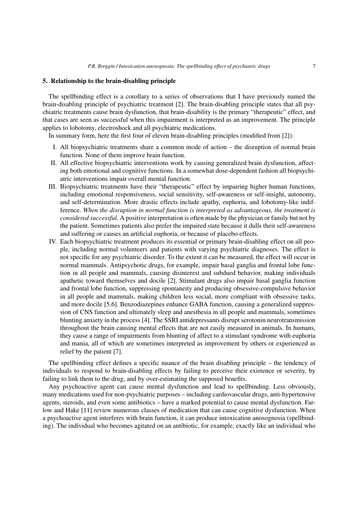## **5. Relationship to the brain-disabling principle**

The spellbinding effect is a corollary to a series of observations that I have previously named the brain-disabling principle of psychiatric treatment [2]. The brain-disabling principle states that all psychiatric treatments cause brain dysfunction, that brain-disability is the primary "therapeutic" effect, and that cases are seen as successful when this impairment is interpreted as an improvement. The principle applies to lobotomy, electroshock and all psychiatric medications.

In summary form, here the first four of eleven brain-disabling principles (modified from [2]):

- I. All biopsychiatric treatments share a common mode of action the disruption of normal brain function. None of them improve brain function.
- II. All effective biopsychiatric interventions work by causing generalized brain dysfunction, affecting both emotional and cognitive functions. In a somewhat dose-dependent fashion all biopsychiatric interventions impair overall mental function.
- III. Biopsychiatric treatments have their "therapeutic" effect by impairing higher human functions, including emotional responsiveness, social sensitivity, self-awareness or self-insight, autonomy, and self-determination. More drastic effects include apathy, euphoria, and lobotomy-like indifference. *When the disruption in normal function is interpreted as advantageous, the treatment is considered successful*. A positive interpretation is often made by the physician or family but not by the patient. Sometimes patients also prefer the impaired state because it dulls their self-awareness and suffering or causes an artificial euphoria, or because of placebo effects.
- IV. Each biopsychiatric treatment produces its essential or primary brain-disabling effect on all people, including normal volunteers and patients with varying psychiatric diagnoses. The effect is not specific for any psychiatric disorder. To the extent it can be measured, the effect will occur in normal mammals. Antipsychotic drugs, for example, impair basal ganglia and frontal lobe function in all people and mammals, causing disinterest and subdued behavior, making individuals apathetic toward themselves and docile [2]. Stimulant drugs also impair basal ganglia function and frontal lobe function, suppressing spontaneity and producing obsessive-compulsive behavior in all people and mammals, making children less social, more compliant with obsessive tasks, and more docile [5,6]. Benzodiazepines enhance GABA function, causing a generalized suppression of CNS function and ultimately sleep and anesthesia in all people and mammals, sometimes blunting anxiety in the process [4]. The SSRI antidepressants disrupt serotonin neurotransmission throughout the brain causing mental effects that are not easily measured in animals. In humans, they cause a range of impairments from blunting of affect to a stimulant syndrome with euphoria and mania, all of which are sometimes interpreted as improvement by others or experienced as relief by the patient [7].

The spellbinding effect defines a specific nuance of the brain disabling principle – the tendency of individuals to respond to brain-disabling effects by failing to perceive their existence or severity, by failing to link them to the drug, and by over-estimating the supposed benefits.

Any psychoactive agent can cause mental dysfunction and lead to spellbinding. Less obviously, many medications used for non-psychiatric purposes – including cardiovascular drugs, anti-hypertensive agents, steroids, and even some antibiotics – have a marked potential to cause mental dysfunction. Farlow and Hake [11] review numerous classes of medication that can cause cognitive dysfunction. When a psychoactive agent interferes with brain function, it can produce intoxication anosognosia (spellbinding). The individual who becomes agitated on an antibiotic, for example, exactly like an individual who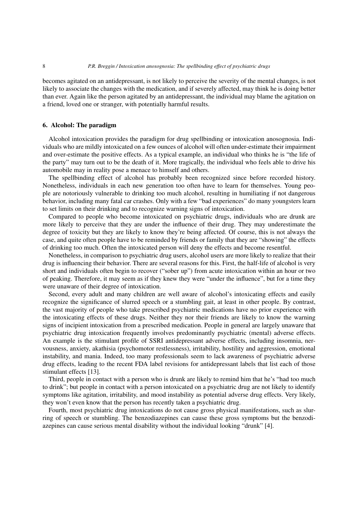becomes agitated on an antidepressant, is not likely to perceive the severity of the mental changes, is not likely to associate the changes with the medication, and if severely affected, may think he is doing better than ever. Again like the person agitated by an antidepressant, the individual may blame the agitation on a friend, loved one or stranger, with potentially harmful results.

# **6. Alcohol: The paradigm**

Alcohol intoxication provides the paradigm for drug spellbinding or intoxication anosognosia. Individuals who are mildly intoxicated on a few ounces of alcohol will often under-estimate their impairment and over-estimate the positive effects. As a typical example, an individual who thinks he is "the life of the party" may turn out to be the death of it. More tragically, the individual who feels able to drive his automobile may in reality pose a menace to himself and others.

The spellbinding effect of alcohol has probably been recognized since before recorded history. Nonetheless, individuals in each new generation too often have to learn for themselves. Young people are notoriously vulnerable to drinking too much alcohol, resulting in humiliating if not dangerous behavior, including many fatal car crashes. Only with a few "bad experiences" do many youngsters learn to set limits on their drinking and to recognize warning signs of intoxication.

Compared to people who become intoxicated on psychiatric drugs, individuals who are drunk are more likely to perceive that they are under the influence of their drug. They may underestimate the degree of toxicity but they are likely to know they're being affected. Of course, this is not always the case, and quite often people have to be reminded by friends or family that they are "showing" the effects of drinking too much. Often the intoxicated person will deny the effects and become resentful.

Nonetheless, in comparison to psychiatric drug users, alcohol users are more likely to realize that their drug is influencing their behavior. There are several reasons for this. First, the half-life of alcohol is very short and individuals often begin to recover ("sober up") from acute intoxication within an hour or two of peaking. Therefore, it may seem as if they knew they were "under the influence", but for a time they were unaware of their degree of intoxication.

Second, every adult and many children are well aware of alcohol's intoxicating effects and easily recognize the significance of slurred speech or a stumbling gait, at least in other people. By contrast, the vast majority of people who take prescribed psychiatric medications have no prior experience with the intoxicating effects of these drugs. Neither they nor their friends are likely to know the warning signs of incipient intoxication from a prescribed medication. People in general are largely unaware that psychiatric drug intoxication frequently involves predominantly psychiatric (mental) adverse effects. An example is the stimulant profile of SSRI antidepressant adverse effects, including insomnia, nervousness, anxiety, akathisia (psychomotor restlessness), irritability, hostility and aggression, emotional instability, and mania. Indeed, too many professionals seem to lack awareness of psychiatric adverse drug effects, leading to the recent FDA label revisions for antidepressant labels that list each of those stimulant effects [13].

Third, people in contact with a person who is drunk are likely to remind him that he's "had too much to drink"; but people in contact with a person intoxicated on a psychiatric drug are not likely to identify symptoms like agitation, irritability, and mood instability as potential adverse drug effects. Very likely, they won't even know that the person has recently taken a psychiatric drug.

Fourth, most psychiatric drug intoxications do not cause gross physical manifestations, such as slurring of speech or stumbling. The benzodiazepines can cause these gross symptoms but the benzodiazepines can cause serious mental disability without the individual looking "drunk" [4].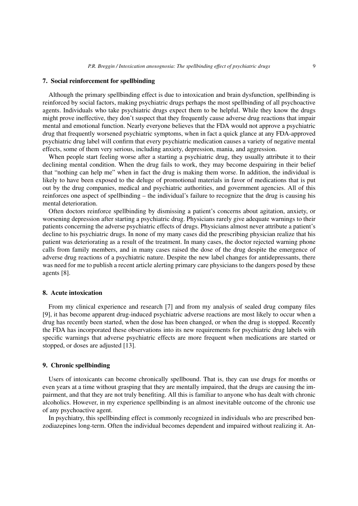## **7. Social reinforcement for spellbinding**

Although the primary spellbinding effect is due to intoxication and brain dysfunction, spellbinding is reinforced by social factors, making psychiatric drugs perhaps the most spellbinding of all psychoactive agents. Individuals who take psychiatric drugs expect them to be helpful. While they know the drugs might prove ineffective, they don't suspect that they frequently cause adverse drug reactions that impair mental and emotional function. Nearly everyone believes that the FDA would not approve a psychiatric drug that frequently worsened psychiatric symptoms, when in fact a quick glance at any FDA-approved psychiatric drug label will confirm that every psychiatric medication causes a variety of negative mental effects, some of them very serious, including anxiety, depression, mania, and aggression.

When people start feeling worse after a starting a psychiatric drug, they usually attribute it to their declining mental condition. When the drug fails to work, they may become despairing in their belief that "nothing can help me" when in fact the drug is making them worse. In addition, the individual is likely to have been exposed to the deluge of promotional materials in favor of medications that is put out by the drug companies, medical and psychiatric authorities, and government agencies. All of this reinforces one aspect of spellbinding – the individual's failure to recognize that the drug is causing his mental deterioration.

Often doctors reinforce spellbinding by dismissing a patient's concerns about agitation, anxiety, or worsening depression after starting a psychiatric drug. Physicians rarely give adequate warnings to their patients concerning the adverse psychiatric effects of drugs. Physicians almost never attribute a patient's decline to his psychiatric drugs. In none of my many cases did the prescribing physician realize that his patient was deteriorating as a result of the treatment. In many cases, the doctor rejected warning phone calls from family members, and in many cases raised the dose of the drug despite the emergence of adverse drug reactions of a psychiatric nature. Despite the new label changes for antidepressants, there was need for me to publish a recent article alerting primary care physicians to the dangers posed by these agents [8].

## **8. Acute intoxication**

From my clinical experience and research [7] and from my analysis of sealed drug company files [9], it has become apparent drug-induced psychiatric adverse reactions are most likely to occur when a drug has recently been started, when the dose has been changed, or when the drug is stopped. Recently the FDA has incorporated these observations into its new requirements for psychiatric drug labels with specific warnings that adverse psychiatric effects are more frequent when medications are started or stopped, or doses are adjusted [13].

# **9. Chronic spellbinding**

Users of intoxicants can become chronically spellbound. That is, they can use drugs for months or even years at a time without grasping that they are mentally impaired, that the drugs are causing the impairment, and that they are not truly benefiting. All this is familiar to anyone who has dealt with chronic alcoholics. However, in my experience spellbinding is an almost inevitable outcome of the chronic use of any psychoactive agent.

In psychiatry, this spellbinding effect is commonly recognized in individuals who are prescribed benzodiazepines long-term. Often the individual becomes dependent and impaired without realizing it. An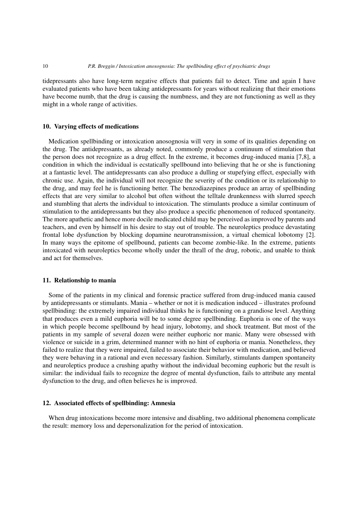tidepressants also have long-term negative effects that patients fail to detect. Time and again I have evaluated patients who have been taking antidepressants for years without realizing that their emotions have become numb, that the drug is causing the numbness, and they are not functioning as well as they might in a whole range of activities.

# **10. Varying effects of medications**

Medication spellbinding or intoxication anosognosia will very in some of its qualities depending on the drug. The antidepressants, as already noted, commonly produce a continuum of stimulation that the person does not recognize as a drug effect. In the extreme, it becomes drug-induced mania [7,8], a condition in which the individual is ecstatically spellbound into believing that he or she is functioning at a fantastic level. The antidepressants can also produce a dulling or stupefying effect, especially with chronic use. Again, the individual will not recognize the severity of the condition or its relationship to the drug, and may feel he is functioning better. The benzodiazepines produce an array of spellbinding effects that are very similar to alcohol but often without the telltale drunkenness with slurred speech and stumbling that alerts the individual to intoxication. The stimulants produce a similar continuum of stimulation to the antidepressants but they also produce a specific phenomenon of reduced spontaneity. The more apathetic and hence more docile medicated child may be perceived as improved by parents and teachers, and even by himself in his desire to stay out of trouble. The neuroleptics produce devastating frontal lobe dysfunction by blocking dopamine neurotransmission, a virtual chemical lobotomy [2]. In many ways the epitome of spellbound, patients can become zombie-like. In the extreme, patients intoxicated with neuroleptics become wholly under the thrall of the drug, robotic, and unable to think and act for themselves.

# **11. Relationship to mania**

Some of the patients in my clinical and forensic practice suffered from drug-induced mania caused by antidepressants or stimulants. Mania – whether or not it is medication induced – illustrates profound spellbinding: the extremely impaired individual thinks he is functioning on a grandiose level. Anything that produces even a mild euphoria will be to some degree spellbinding. Euphoria is one of the ways in which people become spellbound by head injury, lobotomy, and shock treatment. But most of the patients in my sample of several dozen were neither euphoric nor manic. Many were obsessed with violence or suicide in a grim, determined manner with no hint of euphoria or mania. Nonetheless, they failed to realize that they were impaired, failed to associate their behavior with medication, and believed they were behaving in a rational and even necessary fashion. Similarly, stimulants dampen spontaneity and neuroleptics produce a crushing apathy without the individual becoming euphoric but the result is similar: the individual fails to recognize the degree of mental dysfunction, fails to attribute any mental dysfunction to the drug, and often believes he is improved.

# **12. Associated effects of spellbinding: Amnesia**

When drug intoxications become more intensive and disabling, two additional phenomena complicate the result: memory loss and depersonalization for the period of intoxication.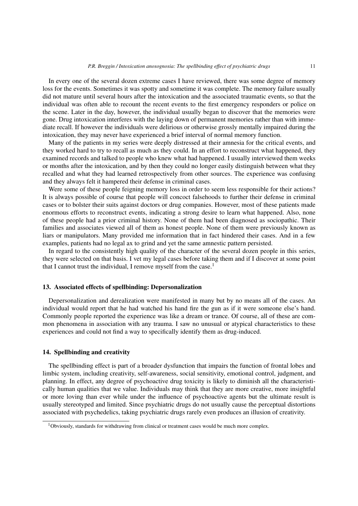In every one of the several dozen extreme cases I have reviewed, there was some degree of memory loss for the events. Sometimes it was spotty and sometime it was complete. The memory failure usually did not mature until several hours after the intoxication and the associated traumatic events, so that the individual was often able to recount the recent events to the first emergency responders or police on the scene. Later in the day, however, the individual usually began to discover that the memories were gone. Drug intoxication interferes with the laying down of permanent memories rather than with immediate recall. If however the individuals were delirious or otherwise grossly mentally impaired during the intoxication, they may never have experienced a brief interval of normal memory function.

Many of the patients in my series were deeply distressed at their amnesia for the critical events, and they worked hard to try to recall as much as they could. In an effort to reconstruct what happened, they examined records and talked to people who knew what had happened. I usually interviewed them weeks or months after the intoxication, and by then they could no longer easily distinguish between what they recalled and what they had learned retrospectively from other sources. The experience was confusing and they always felt it hampered their defense in criminal cases.

Were some of these people feigning memory loss in order to seem less responsible for their actions? It is always possible of course that people will concoct falsehoods to further their defense in criminal cases or to bolster their suits against doctors or drug companies. However, most of these patients made enormous efforts to reconstruct events, indicating a strong desire to learn what happened. Also, none of these people had a prior criminal history. None of them had been diagnosed as sociopathic. Their families and associates viewed all of them as honest people. None of them were previously known as liars or manipulators. Many provided me information that in fact hindered their cases. And in a few examples, patients had no legal ax to grind and yet the same amnestic pattern persisted.

In regard to the consistently high quality of the character of the several dozen people in this series, they were selected on that basis. I vet my legal cases before taking them and if I discover at some point that I cannot trust the individual, I remove myself from the case.<sup>1</sup>

# **13. Associated effects of spellbinding: Depersonalization**

Depersonalization and derealization were manifested in many but by no means all of the cases. An individual would report that he had watched his hand fire the gun as if it were someone else's hand. Commonly people reported the experience was like a dream or trance. Of course, all of these are common phenomena in association with any trauma. I saw no unusual or atypical characteristics to these experiences and could not find a way to specifically identify them as drug-induced.

## **14. Spellbinding and creativity**

The spellbinding effect is part of a broader dysfunction that impairs the function of frontal lobes and limbic system, including creativity, self-awareness, social sensitivity, emotional control, judgment, and planning. In effect, any degree of psychoactive drug toxicity is likely to diminish all the characteristically human qualities that we value. Individuals may think that they are more creative, more insightful or more loving than ever while under the influence of psychoactive agents but the ultimate result is usually stereotyped and limited. Since psychiatric drugs do not usually cause the perceptual distortions associated with psychedelics, taking psychiatric drugs rarely even produces an illusion of creativity.

<sup>&</sup>lt;sup>1</sup>Obviously, standards for withdrawing from clinical or treatment cases would be much more complex.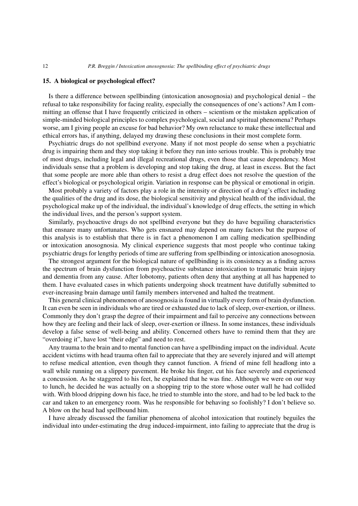## **15. A biological or psychological effect?**

Is there a difference between spellbinding (intoxication anosognosia) and psychological denial – the refusal to take responsibility for facing reality, especially the consequences of one's actions? Am I committing an offense that I have frequently criticized in others – scientism or the mistaken application of simple-minded biological principles to complex psychological, social and spiritual phenomena? Perhaps worse, am I giving people an excuse for bad behavior? My own reluctance to make these intellectual and ethical errors has, if anything, delayed my drawing these conclusions in their most complete form.

Psychiatric drugs do not spellbind everyone. Many if not most people do sense when a psychiatric drug is impairing them and they stop taking it before they run into serious trouble. This is probably true of most drugs, including legal and illegal recreational drugs, even those that cause dependency. Most individuals sense that a problem is developing and stop taking the drug, at least in excess. But the fact that some people are more able than others to resist a drug effect does not resolve the question of the effect's biological or psychological origin. Variation in response can be physical or emotional in origin.

Most probably a variety of factors play a role in the intensity or direction of a drug's effect including the qualities of the drug and its dose, the biological sensitivity and physical health of the individual, the psychological make up of the individual, the individual's knowledge of drug effects, the setting in which the individual lives, and the person's support system.

Similarly, psychoactive drugs do not spellbind everyone but they do have beguiling characteristics that ensnare many unfortunates. Who gets ensnared may depend on many factors but the purpose of this analysis is to establish that there is in fact a phenomenon I am calling medication spellbinding or intoxication anosognosia. My clinical experience suggests that most people who continue taking psychiatric drugs for lengthy periods of time are suffering from spellbinding or intoxication anosognosia.

The strongest argument for the biological nature of spellbinding is its consistency as a finding across the spectrum of brain dysfunction from psychoactive substance intoxication to traumatic brain injury and dementia from any cause. After lobotomy, patients often deny that anything at all has happened to them. I have evaluated cases in which patients undergoing shock treatment have dutifully submitted to ever-increasing brain damage until family members intervened and halted the treatment.

This general clinical phenomenon of anosognosia is found in virtually every form of brain dysfunction. It can even be seen in individuals who are tired or exhausted due to lack of sleep, over-exertion, or illness. Commonly they don't grasp the degree of their impairment and fail to perceive any connections between how they are feeling and their lack of sleep, over-exertion or illness. In some instances, these individuals develop a false sense of well-being and ability. Concerned others have to remind them that they are "overdoing it", have lost "their edge" and need to rest.

Any trauma to the brain and to mental function can have a spellbinding impact on the individual. Acute accident victims with head trauma often fail to appreciate that they are severely injured and will attempt to refuse medical attention, even though they cannot function. A friend of mine fell headlong into a wall while running on a slippery pavement. He broke his finger, cut his face severely and experienced a concussion. As he staggered to his feet, he explained that he was fine. Although we were on our way to lunch, he decided he was actually on a shopping trip to the store whose outer wall he had collided with. With blood dripping down his face, he tried to stumble into the store, and had to be led back to the car and taken to an emergency room. Was he responsible for behaving so foolishly? I don't believe so. A blow on the head had spellbound him.

I have already discussed the familiar phenomena of alcohol intoxication that routinely beguiles the individual into under-estimating the drug induced-impairment, into failing to appreciate that the drug is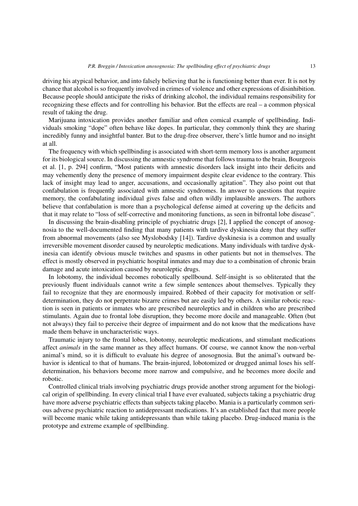driving his atypical behavior, and into falsely believing that he is functioning better than ever. It is not by chance that alcohol is so frequently involved in crimes of violence and other expressions of disinhibition. Because people should anticipate the risks of drinking alcohol, the individual remains responsibility for recognizing these effects and for controlling his behavior. But the effects are real – a common physical result of taking the drug.

Marijuana intoxication provides another familiar and often comical example of spellbinding. Individuals smoking "dope" often behave like dopes. In particular, they commonly think they are sharing incredibly funny and insightful banter. But to the drug-free observer, there's little humor and no insight at all.

The frequency with which spellbinding is associated with short-term memory loss is another argument for its biological source. In discussing the amnestic syndrome that follows trauma to the brain, Bourgeois et al. [1, p. 294] confirm, "Most patients with amnestic disorders lack insight into their deficits and may vehemently deny the presence of memory impairment despite clear evidence to the contrary. This lack of insight may lead to anger, accusations, and occasionally agitation". They also point out that confabulation is frequently associated with amnestic syndromes. In answer to questions that require memory, the confabulating individual gives false and often wildly implausible answers. The authors believe that confabulation is more than a psychological defense aimed at covering up the deficits and that it may relate to "loss of self-corrective and monitoring functions, as seen in bifrontal lobe disease".

In discussing the brain-disabling principle of psychiatric drugs [2], I applied the concept of anosognosia to the well-documented finding that many patients with tardive dyskinesia deny that they suffer from abnormal movements (also see Myslobodsky [14]). Tardive dyskinesia is a common and usually irreversible movement disorder caused by neuroleptic medications. Many individuals with tardive dyskinesia can identify obvious muscle twitches and spasms in other patients but not in themselves. The effect is mostly observed in psychiatric hospital inmates and may due to a combination of chronic brain damage and acute intoxication caused by neuroleptic drugs.

In lobotomy, the individual becomes robotically spellbound. Self-insight is so obliterated that the previously fluent individuals cannot write a few simple sentences about themselves. Typically they fail to recognize that they are enormously impaired. Robbed of their capacity for motivation or selfdetermination, they do not perpetrate bizarre crimes but are easily led by others. A similar robotic reaction is seen in patients or inmates who are prescribed neuroleptics and in children who are prescribed stimulants. Again due to frontal lobe disruption, they become more docile and manageable. Often (but not always) they fail to perceive their degree of impairment and do not know that the medications have made them behave in uncharacteristic ways.

Traumatic injury to the frontal lobes, lobotomy, neuroleptic medications, and stimulant medications affect *animals* in the same manner as they affect humans. Of course, we cannot know the non-verbal animal's mind, so it is difficult to evaluate his degree of anosognosia. But the animal's outward behavior is identical to that of humans. The brain-injured, lobotomized or drugged animal loses his selfdetermination, his behaviors become more narrow and compulsive, and he becomes more docile and robotic.

Controlled clinical trials involving psychiatric drugs provide another strong argument for the biological origin of spellbinding. In every clinical trial I have ever evaluated, subjects taking a psychiatric drug have more adverse psychiatric effects than subjects taking placebo. Mania is a particularly common serious adverse psychiatric reaction to antidepressant medications. It's an established fact that more people will become manic while taking antidepressants than while taking placebo. Drug-induced mania is the prototype and extreme example of spellbinding.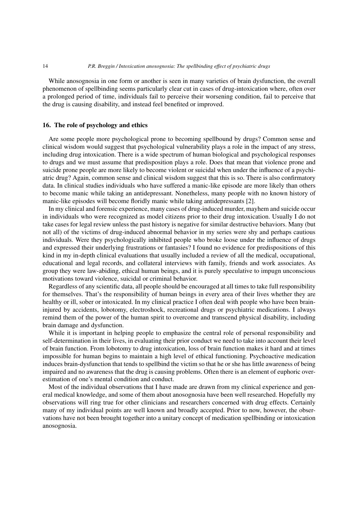While anosognosia in one form or another is seen in many varieties of brain dysfunction, the overall phenomenon of spellbinding seems particularly clear cut in cases of drug-intoxication where, often over a prolonged period of time, individuals fail to perceive their worsening condition, fail to perceive that the drug is causing disability, and instead feel benefited or improved.

# **16. The role of psychology and ethics**

Are some people more psychological prone to becoming spellbound by drugs? Common sense and clinical wisdom would suggest that psychological vulnerability plays a role in the impact of any stress, including drug intoxication. There is a wide spectrum of human biological and psychological responses to drugs and we must assume that predisposition plays a role. Does that mean that violence prone and suicide prone people are more likely to become violent or suicidal when under the influence of a psychiatric drug? Again, common sense and clinical wisdom suggest that this is so. There is also confirmatory data. In clinical studies individuals who have suffered a manic-like episode are more likely than others to become manic while taking an antidepressant. Nonetheless, many people with no known history of manic-like episodes will become floridly manic while taking antidepressants [2].

In my clinical and forensic experience, many cases of drug-induced murder, mayhem and suicide occur in individuals who were recognized as model citizens prior to their drug intoxication. Usually I do not take cases for legal review unless the past history is negative for similar destructive behaviors. Many (but not all) of the victims of drug-induced abnormal behavior in my series were shy and perhaps cautious individuals. Were they psychologically inhibited people who broke loose under the influence of drugs and expressed their underlying frustrations or fantasies? I found no evidence for predispositions of this kind in my in-depth clinical evaluations that usually included a review of all the medical, occupational, educational and legal records, and collateral interviews with family, friends and work associates. As group they were law-abiding, ethical human beings, and it is purely speculative to impugn unconscious motivations toward violence, suicidal or criminal behavior.

Regardless of any scientific data, all people should be encouraged at all times to take full responsibility for themselves. That's the responsibility of human beings in every area of their lives whether they are healthy or ill, sober or intoxicated. In my clinical practice I often deal with people who have been braininjured by accidents, lobotomy, electroshock, recreational drugs or psychiatric medications. I always remind them of the power of the human spirit to overcome and transcend physical disability, including brain damage and dysfunction.

While it is important in helping people to emphasize the central role of personal responsibility and self-determination in their lives, in evaluating their prior conduct we need to take into account their level of brain function. From lobotomy to drug intoxication, loss of brain function makes it hard and at times impossible for human begins to maintain a high level of ethical functioning. Psychoactive medication induces brain-dysfunction that tends to spellbind the victim so that he or she has little awareness of being impaired and no awareness that the drug is causing problems. Often there is an element of euphoric overestimation of one's mental condition and conduct.

Most of the individual observations that I have made are drawn from my clinical experience and general medical knowledge, and some of them about anosognosia have been well researched. Hopefully my observations will ring true for other clinicians and researchers concerned with drug effects. Certainly many of my individual points are well known and broadly accepted. Prior to now, however, the observations have not been brought together into a unitary concept of medication spellbinding or intoxication anosognosia.